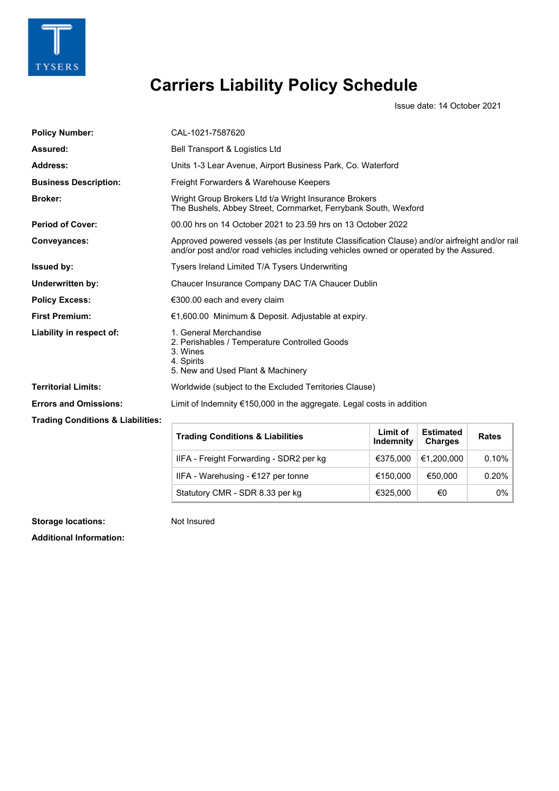

# **Carriers Liability Policy Schedule**

**Issue date: 14 October 2021**

| <b>Policy Number:</b>                        | CAL-1021-7587620                                                                                                                                                                         |                       |                                    |              |
|----------------------------------------------|------------------------------------------------------------------------------------------------------------------------------------------------------------------------------------------|-----------------------|------------------------------------|--------------|
| Assured:                                     | Bell Transport & Logistics Ltd                                                                                                                                                           |                       |                                    |              |
| <b>Address:</b>                              | Units 1-3 Lear Avenue, Airport Business Park, Co. Waterford                                                                                                                              |                       |                                    |              |
| <b>Business Description:</b>                 | Freight Forwarders & Warehouse Keepers                                                                                                                                                   |                       |                                    |              |
| <b>Broker:</b>                               | Wright Group Brokers Ltd t/a Wright Insurance Brokers<br>The Bushels, Abbey Street, Cornmarket, Ferrybank South, Wexford                                                                 |                       |                                    |              |
| <b>Period of Cover:</b>                      | 00.00 hrs on 14 October 2021 to 23.59 hrs on 13 October 2022                                                                                                                             |                       |                                    |              |
| Conveyances:                                 | Approved powered vessels (as per Institute Classification Clause) and/or airfreight and/or rail<br>and/or post and/or road vehicles including vehicles owned or operated by the Assured. |                       |                                    |              |
| <b>Issued by:</b>                            | Tysers Ireland Limited T/A Tysers Underwriting                                                                                                                                           |                       |                                    |              |
| <b>Underwritten by:</b>                      | Chaucer Insurance Company DAC T/A Chaucer Dublin                                                                                                                                         |                       |                                    |              |
| <b>Policy Excess:</b>                        | €300.00 each and every claim                                                                                                                                                             |                       |                                    |              |
| <b>First Premium:</b>                        | €1,600.00 Minimum & Deposit. Adjustable at expiry.                                                                                                                                       |                       |                                    |              |
| Liability in respect of:                     | 1. General Merchandise<br>2. Perishables / Temperature Controlled Goods<br>3. Wines<br>4. Spirits<br>5. New and Used Plant & Machinery                                                   |                       |                                    |              |
| <b>Territorial Limits:</b>                   | Worldwide (subject to the Excluded Territories Clause)                                                                                                                                   |                       |                                    |              |
| <b>Errors and Omissions:</b>                 | Limit of Indemnity $\epsilon$ 150,000 in the aggregate. Legal costs in addition                                                                                                          |                       |                                    |              |
| <b>Trading Conditions &amp; Liabilities:</b> |                                                                                                                                                                                          |                       |                                    |              |
|                                              | <b>Trading Conditions &amp; Liabilities</b>                                                                                                                                              | Limit of<br>Indemnity | <b>Estimated</b><br><b>Charges</b> | <b>Rates</b> |
|                                              | IIFA - Freight Forwarding - SDR2 per kg                                                                                                                                                  | €375,000              | €1,200,000                         | 0.10%        |
|                                              | IIFA - Warehusing - $€127$ per tonne                                                                                                                                                     | €150,000              | €50,000                            | 0.20%        |
|                                              | Statutory CMR - SDR 8.33 per kg                                                                                                                                                          | €325.000              | €0                                 | 0%           |

**Storage locations:** Not Insured

**Additional Information:**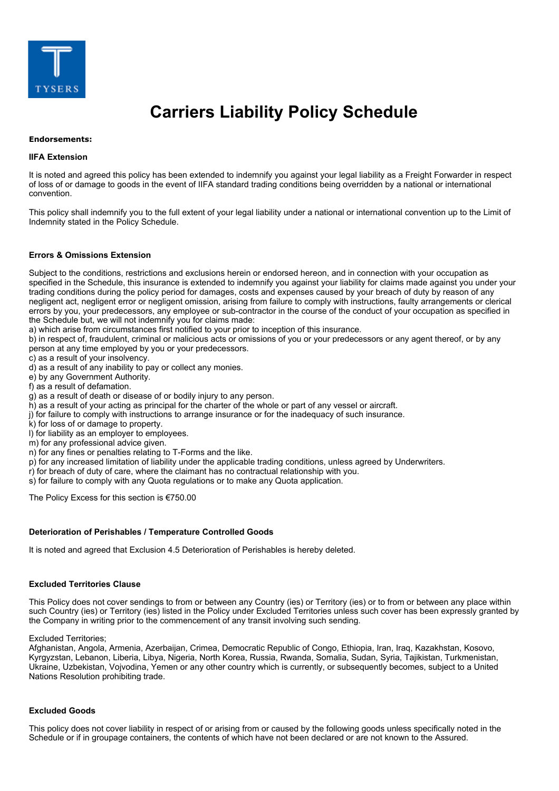

# **Carriers Liability Policy Schedule**

#### **Endorsements:**

#### **• IIFA Extension**

It is noted and agreed this policy has been extended to indemnify you against your legal liability as a Freight Forwarder in respect of loss of or damage to goods in the event of IIFA standard trading conditions being overridden by a national or international **convention.**

This policy shall indemnify you to the full extent of your legal liability under a national or international convention up to the Limit of **Indemnity stated in the Policy Schedule.**

#### **• Errors & Omissions Extension**

Subject to the conditions, restrictions and exclusions herein or endorsed hereon, and in connection with your occupation as specified in the Schedule, this insurance is extended to indemnify you against your liability for claims made against you under your trading conditions during the policy period for damages, costs and expenses caused by your breach of duty by reason of any negligent act, negligent error or negligent omission, arising from failure to comply with instructions, faulty arrangements or clerical errors by you, your predecessors, any employee or sub-contractor in the course of the conduct of your occupation as specified in **the Schedule but, we will not indemnify you for claims made:**

**a) which arise from circumstances first notified to your prior to inception of this insurance.**

b) in respect of, fraudulent, criminal or malicious acts or omissions of you or your predecessors or any agent thereof, or by any **person at any time employed by you or your predecessors.**

- **c) as a result of your insolvency.**
- **d) as a result of any inability to pay or collect any monies.**
- **e) by any Government Authority.**
- **f) as a result of defamation.**
- **g) as a result of death or disease of or bodily injury to any person.**
- h) as a result of your acting as principal for the charter of the whole or part of any vessel or aircraft.
- **j) for failure to comply with instructions to arrange insurance or for the inadequacy of such insurance.**
- **k) for loss of or damage to property.**
- **l) for liability as an employer to employees.**
- **m) for any professional advice given.**
- **n) for any fines or penalties relating to T-Forms and the like.**
- p) for any increased limitation of liability under the applicable trading conditions, unless agreed by Underwriters.
- **r) for breach of duty of care, where the claimant has no contractual relationship with you.**
- **s) for failure to comply with any Quota regulations or to make any Quota application.**

**The Policy Excess for this section is €750.00**

#### **• Deterioration of Perishables / Temperature Controlled Goods**

**It is noted and agreed that Exclusion 4.5 Deterioration of Perishables is hereby deleted.**

# **• Excluded Territories Clause**

This Policy does not cover sendings to from or between any Country (ies) or Territory (ies) or to from or between any place within such Country (ies) or Territory (ies) listed in the Policy under Excluded Territories unless such cover has been expressly granted by **the Company in writing prior to the commencement of any transit involving such sending.**

#### **Excluded Territories;**

**Afghanistan, Angola, Armenia, Azerbaijan, Crimea, Democratic Republic of Congo, Ethiopia, Iran, Iraq, Kazakhstan, Kosovo, Kyrgyzstan, Lebanon, Liberia, Libya, Nigeria, North Korea, Russia, Rwanda, Somalia, Sudan, Syria, Tajikistan, Turkmenistan,** Ukraine, Uzbekistan, Vojvodina, Yemen or any other country which is currently, or subsequently becomes, subject to a United **Nations Resolution prohibiting trade.**

#### **• Excluded Goods**

This policy does not cover liability in respect of or arising from or caused by the following goods unless specifically noted in the Schedule or if in groupage containers, the contents of which have not been declared or are not known to the Assured.